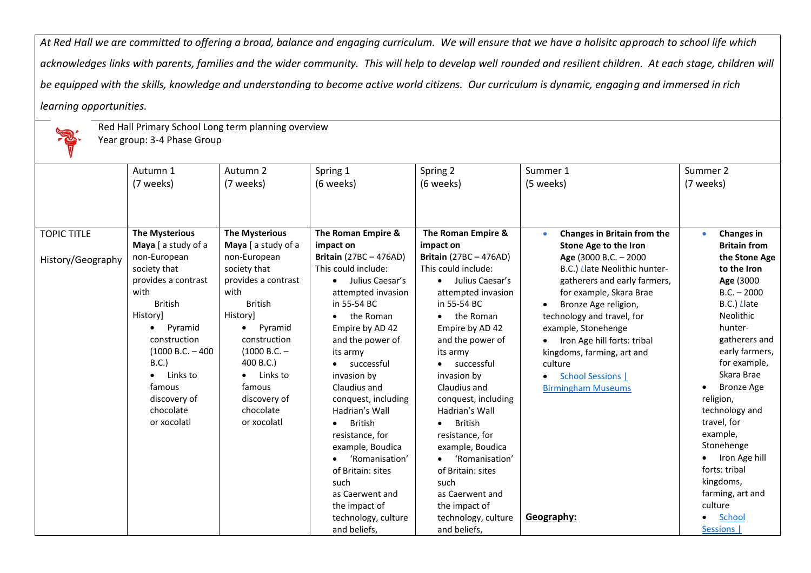*At Red Hall we are committed to offering a broad, balance and engaging curriculum. We will ensure that we have a holisitc approach to school life which acknowledges links with parents, families and the wider community. This will help to develop well rounded and resilient children. At each stage, children will be equipped with the skills, knowledge and understanding to become active world citizens. Our curriculum is dynamic, engaging and immersed in rich learning opportunities.*



Red Hall Primary School Long term planning overview

Year group: 3-4 Phase Group

|                    | Autumn 1              | Autumn 2              | Spring 1                      | Spring 2                      | Summer 1                              | Summer 2                |
|--------------------|-----------------------|-----------------------|-------------------------------|-------------------------------|---------------------------------------|-------------------------|
|                    | (7 weeks)             | (7 weeks)             | (6 weeks)                     | (6 weeks)                     | (5 weeks)                             | (7 weeks)               |
|                    |                       |                       |                               |                               |                                       |                         |
|                    |                       |                       |                               |                               |                                       |                         |
|                    |                       |                       |                               |                               |                                       |                         |
| <b>TOPIC TITLE</b> | <b>The Mysterious</b> | <b>The Mysterious</b> | The Roman Empire &            | The Roman Empire &            | Changes in Britain from the           | Changes in<br>$\bullet$ |
|                    | Maya [ a study of a   | Maya [ a study of a   | impact on                     | impact on                     | Stone Age to the Iron                 | <b>Britain from</b>     |
| History/Geography  | non-European          | non-European          | <b>Britain</b> (27BC - 476AD) | <b>Britain</b> (27BC - 476AD) | Age (3000 B.C. - 2000                 | the Stone Age           |
|                    | society that          | society that          | This could include:           | This could include:           | B.C.) Llate Neolithic hunter-         | to the Iron             |
|                    | provides a contrast   | provides a contrast   | Julius Caesar's<br>$\bullet$  | • Julius Caesar's             | gatherers and early farmers,          | Age (3000               |
|                    | with                  | with                  | attempted invasion            | attempted invasion            | for example, Skara Brae               | $B.C. - 2000$           |
|                    | <b>British</b>        | <b>British</b>        | in 55-54 BC                   | in 55-54 BC                   | Bronze Age religion,                  | B.C.) Llate             |
|                    | History]              | History]              | the Roman                     | the Roman<br>$\bullet$        | technology and travel, for            | <b>Neolithic</b>        |
|                    | Pyramid<br>$\bullet$  | Pyramid<br>$\bullet$  | Empire by AD 42               | Empire by AD 42               | example, Stonehenge                   | hunter-                 |
|                    | construction          | construction          | and the power of              | and the power of              | Iron Age hill forts: tribal           | gatherers and           |
|                    | $(1000 B.C. - 400$    | $(1000 B.C. -$        | its army                      | its army                      | kingdoms, farming, art and            | early farmers,          |
|                    | B.C.                  | 400 B.C.)             | • successful                  | successful<br>$\bullet$       | culture                               | for example,            |
|                    | Links to<br>$\bullet$ | $\bullet$ Links to    | invasion by                   | invasion by                   | <b>School Sessions  </b><br>$\bullet$ | Skara Brae              |
|                    | famous                | famous                | Claudius and                  | Claudius and                  | <b>Birmingham Museums</b>             | <b>Bronze Age</b>       |
|                    | discovery of          | discovery of          | conquest, including           | conquest, including           |                                       | religion,               |
|                    | chocolate             | chocolate             | Hadrian's Wall                | Hadrian's Wall                |                                       | technology and          |
|                    | or xocolatl           | or xocolatl           | <b>British</b><br>$\bullet$   | British<br>٠                  |                                       | travel, for             |
|                    |                       |                       | resistance, for               | resistance, for               |                                       | example,                |
|                    |                       |                       | example, Boudica              | example, Boudica              |                                       | Stonehenge              |
|                    |                       |                       | 'Romanisation'                | 'Romanisation'<br>$\bullet$   |                                       | Iron Age hill           |
|                    |                       |                       | of Britain: sites             | of Britain: sites             |                                       | forts: tribal           |
|                    |                       |                       | such                          | such                          |                                       | kingdoms,               |
|                    |                       |                       | as Caerwent and               | as Caerwent and               |                                       | farming, art and        |
|                    |                       |                       | the impact of                 | the impact of                 |                                       | culture                 |
|                    |                       |                       | technology, culture           | technology, culture           | Geography:                            | School<br>$\bullet$     |
|                    |                       |                       | and beliefs,                  | and beliefs,                  |                                       | Sessions                |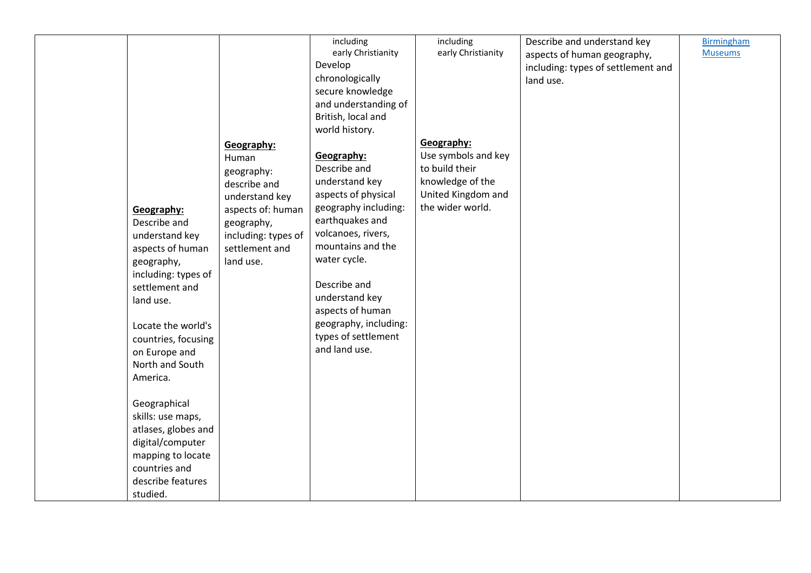| Geography:<br>Describe and<br>understand key<br>aspects of human<br>geography,<br>including: types of<br>settlement and<br>land use.<br>Locate the world's<br>countries, focusing<br>on Europe and | Geography:<br>Human<br>geography:<br>describe and<br>understand key<br>aspects of: human<br>geography,<br>including: types of<br>settlement and<br>land use. | including<br>early Christianity<br>Develop<br>chronologically<br>secure knowledge<br>and understanding of<br>British, local and<br>world history.<br>Geography:<br>Describe and<br>understand key<br>aspects of physical<br>geography including:<br>earthquakes and<br>volcanoes, rivers,<br>mountains and the<br>water cycle.<br>Describe and<br>understand key<br>aspects of human<br>geography, including:<br>types of settlement<br>and land use. | including<br>early Christianity<br>Geography:<br>Use symbols and key<br>to build their<br>knowledge of the<br>United Kingdom and<br>the wider world. | Describe and understand key<br>aspects of human geography,<br>including: types of settlement and<br>land use. | <b>Birmingham</b><br><b>Museums</b> |
|----------------------------------------------------------------------------------------------------------------------------------------------------------------------------------------------------|--------------------------------------------------------------------------------------------------------------------------------------------------------------|-------------------------------------------------------------------------------------------------------------------------------------------------------------------------------------------------------------------------------------------------------------------------------------------------------------------------------------------------------------------------------------------------------------------------------------------------------|------------------------------------------------------------------------------------------------------------------------------------------------------|---------------------------------------------------------------------------------------------------------------|-------------------------------------|
|                                                                                                                                                                                                    |                                                                                                                                                              |                                                                                                                                                                                                                                                                                                                                                                                                                                                       |                                                                                                                                                      |                                                                                                               |                                     |
|                                                                                                                                                                                                    |                                                                                                                                                              |                                                                                                                                                                                                                                                                                                                                                                                                                                                       |                                                                                                                                                      |                                                                                                               |                                     |
|                                                                                                                                                                                                    |                                                                                                                                                              |                                                                                                                                                                                                                                                                                                                                                                                                                                                       |                                                                                                                                                      |                                                                                                               |                                     |
|                                                                                                                                                                                                    |                                                                                                                                                              |                                                                                                                                                                                                                                                                                                                                                                                                                                                       |                                                                                                                                                      |                                                                                                               |                                     |
|                                                                                                                                                                                                    |                                                                                                                                                              |                                                                                                                                                                                                                                                                                                                                                                                                                                                       |                                                                                                                                                      |                                                                                                               |                                     |
|                                                                                                                                                                                                    |                                                                                                                                                              |                                                                                                                                                                                                                                                                                                                                                                                                                                                       |                                                                                                                                                      |                                                                                                               |                                     |
|                                                                                                                                                                                                    |                                                                                                                                                              |                                                                                                                                                                                                                                                                                                                                                                                                                                                       |                                                                                                                                                      |                                                                                                               |                                     |
|                                                                                                                                                                                                    |                                                                                                                                                              |                                                                                                                                                                                                                                                                                                                                                                                                                                                       |                                                                                                                                                      |                                                                                                               |                                     |
|                                                                                                                                                                                                    |                                                                                                                                                              |                                                                                                                                                                                                                                                                                                                                                                                                                                                       |                                                                                                                                                      |                                                                                                               |                                     |
|                                                                                                                                                                                                    |                                                                                                                                                              |                                                                                                                                                                                                                                                                                                                                                                                                                                                       |                                                                                                                                                      |                                                                                                               |                                     |
|                                                                                                                                                                                                    |                                                                                                                                                              |                                                                                                                                                                                                                                                                                                                                                                                                                                                       |                                                                                                                                                      |                                                                                                               |                                     |
|                                                                                                                                                                                                    |                                                                                                                                                              |                                                                                                                                                                                                                                                                                                                                                                                                                                                       |                                                                                                                                                      |                                                                                                               |                                     |
|                                                                                                                                                                                                    |                                                                                                                                                              |                                                                                                                                                                                                                                                                                                                                                                                                                                                       |                                                                                                                                                      |                                                                                                               |                                     |
|                                                                                                                                                                                                    |                                                                                                                                                              |                                                                                                                                                                                                                                                                                                                                                                                                                                                       |                                                                                                                                                      |                                                                                                               |                                     |
|                                                                                                                                                                                                    |                                                                                                                                                              |                                                                                                                                                                                                                                                                                                                                                                                                                                                       |                                                                                                                                                      |                                                                                                               |                                     |
|                                                                                                                                                                                                    |                                                                                                                                                              |                                                                                                                                                                                                                                                                                                                                                                                                                                                       |                                                                                                                                                      |                                                                                                               |                                     |
|                                                                                                                                                                                                    |                                                                                                                                                              |                                                                                                                                                                                                                                                                                                                                                                                                                                                       |                                                                                                                                                      |                                                                                                               |                                     |
|                                                                                                                                                                                                    |                                                                                                                                                              |                                                                                                                                                                                                                                                                                                                                                                                                                                                       |                                                                                                                                                      |                                                                                                               |                                     |
| North and South                                                                                                                                                                                    |                                                                                                                                                              |                                                                                                                                                                                                                                                                                                                                                                                                                                                       |                                                                                                                                                      |                                                                                                               |                                     |
| America.                                                                                                                                                                                           |                                                                                                                                                              |                                                                                                                                                                                                                                                                                                                                                                                                                                                       |                                                                                                                                                      |                                                                                                               |                                     |
|                                                                                                                                                                                                    |                                                                                                                                                              |                                                                                                                                                                                                                                                                                                                                                                                                                                                       |                                                                                                                                                      |                                                                                                               |                                     |
| Geographical                                                                                                                                                                                       |                                                                                                                                                              |                                                                                                                                                                                                                                                                                                                                                                                                                                                       |                                                                                                                                                      |                                                                                                               |                                     |
| skills: use maps,                                                                                                                                                                                  |                                                                                                                                                              |                                                                                                                                                                                                                                                                                                                                                                                                                                                       |                                                                                                                                                      |                                                                                                               |                                     |
| atlases, globes and                                                                                                                                                                                |                                                                                                                                                              |                                                                                                                                                                                                                                                                                                                                                                                                                                                       |                                                                                                                                                      |                                                                                                               |                                     |
| digital/computer                                                                                                                                                                                   |                                                                                                                                                              |                                                                                                                                                                                                                                                                                                                                                                                                                                                       |                                                                                                                                                      |                                                                                                               |                                     |
| mapping to locate                                                                                                                                                                                  |                                                                                                                                                              |                                                                                                                                                                                                                                                                                                                                                                                                                                                       |                                                                                                                                                      |                                                                                                               |                                     |
| countries and                                                                                                                                                                                      |                                                                                                                                                              |                                                                                                                                                                                                                                                                                                                                                                                                                                                       |                                                                                                                                                      |                                                                                                               |                                     |
| describe features                                                                                                                                                                                  |                                                                                                                                                              |                                                                                                                                                                                                                                                                                                                                                                                                                                                       |                                                                                                                                                      |                                                                                                               |                                     |
| studied.                                                                                                                                                                                           |                                                                                                                                                              |                                                                                                                                                                                                                                                                                                                                                                                                                                                       |                                                                                                                                                      |                                                                                                               |                                     |
|                                                                                                                                                                                                    |                                                                                                                                                              |                                                                                                                                                                                                                                                                                                                                                                                                                                                       |                                                                                                                                                      |                                                                                                               |                                     |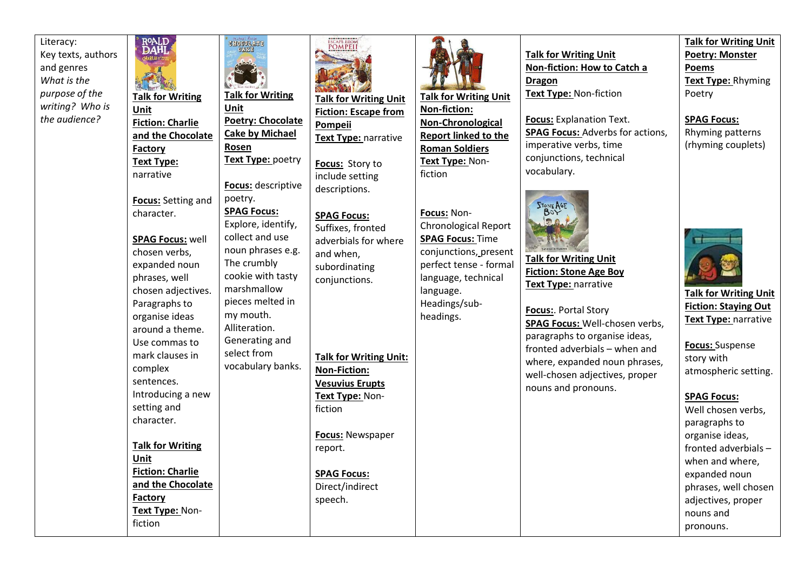Literacy: Key texts, authors and genres *What is the purpose of the writing? Who is the audience?*

R<sup>OALD</sup><br>DAHL **GHOGOLATE Talk for Writing Talk for Writing Unit Unit Poetry: Chocolate Fiction: Charlie Cake by Michael and the Chocolate Rosen Factory Text Type:** poetry **Text Type:** narrative **Focus:** descriptive poetry. **Focus:** Setting and **SPAG Focus:**  character. Explore, identify, collect and use **SPAG Focus:** well noun phrases e.g. chosen verbs, The crumbly expanded noun cookie with tasty phrases, well marshmallow chosen adjectives. pieces melted in Paragraphs to my mouth. organise ideas Alliteration. around a theme. Generating and Use commas to mark clauses in select from vocabulary banks. complex sentences. Introducing a new setting and character. **Talk for Writing Unit Fiction: Charlie and the Chocolate Factory Text Type:** Nonfiction



**Talk for Writing Unit Fiction: Escape from Pompeii Text Type:** narrative

**Focus:** Story to include setting descriptions.

**SPAG Focus:**  Suffixes, fronted adverbials for where and when, subordinating conjunctions.

**Talk for Writing Unit: Non-Fiction: Vesuvius Erupts Text Type:** Nonfiction

**Focus:** Newspaper report.

**SPAG Focus:**  Direct/indirect speech.



**Talk for Writing Unit Non-fiction: Non-Chronological Report linked to the Roman Soldiers Text Type:** Nonfiction

**Focus:** Non-Chronological Report **SPAG Focus:** Time conjunctions, present perfect tense - formal language, technical language. Headings/subheadings.

**Talk for Writing Unit Non-fiction: How to Catch a Dragon Text Type:** Non-fiction

**Focus:** Explanation Text. **SPAG Focus:** Adverbs for actions, imperative verbs, time conjunctions, technical vocabulary.



**Talk for Writing Unit Fiction: Stone Age Boy Text Type:** narrative

**Focus:**. Portal Story **SPAG Focus:** Well-chosen verbs, paragraphs to organise ideas, fronted adverbials – when and where, expanded noun phrases, well-chosen adjectives, proper nouns and pronouns.

**Talk for Writing Unit Poetry: Monster Poems Text Type:** Rhyming Poetry

**SPAG Focus:** Rhyming patterns (rhyming couplets)



**Talk for Writing Unit Fiction: Staying Out Text Type:** narrative

**Focus:** Suspense story with atmospheric setting.

**SPAG Focus:**

Well chosen verbs, paragraphs to organise ideas, fronted adverbials – when and where, expanded noun phrases, well chosen adjectives, proper nouns and pronouns.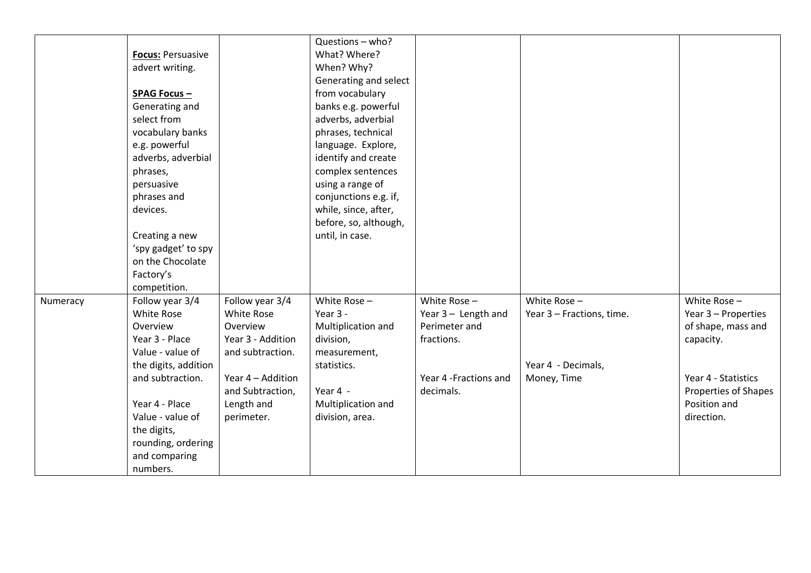|          |                          |                   | Questions - who?      |                        |                           |                      |
|----------|--------------------------|-------------------|-----------------------|------------------------|---------------------------|----------------------|
|          | <b>Focus: Persuasive</b> |                   | What? Where?          |                        |                           |                      |
|          | advert writing.          |                   | When? Why?            |                        |                           |                      |
|          |                          |                   | Generating and select |                        |                           |                      |
|          | <b>SPAG Focus -</b>      |                   | from vocabulary       |                        |                           |                      |
|          | Generating and           |                   | banks e.g. powerful   |                        |                           |                      |
|          | select from              |                   | adverbs, adverbial    |                        |                           |                      |
|          | vocabulary banks         |                   | phrases, technical    |                        |                           |                      |
|          | e.g. powerful            |                   | language. Explore,    |                        |                           |                      |
|          | adverbs, adverbial       |                   | identify and create   |                        |                           |                      |
|          | phrases,                 |                   | complex sentences     |                        |                           |                      |
|          | persuasive               |                   | using a range of      |                        |                           |                      |
|          | phrases and              |                   | conjunctions e.g. if, |                        |                           |                      |
|          | devices.                 |                   | while, since, after,  |                        |                           |                      |
|          |                          |                   | before, so, although, |                        |                           |                      |
|          | Creating a new           |                   | until, in case.       |                        |                           |                      |
|          | 'spy gadget' to spy      |                   |                       |                        |                           |                      |
|          | on the Chocolate         |                   |                       |                        |                           |                      |
|          | Factory's                |                   |                       |                        |                           |                      |
|          | competition.             |                   |                       |                        |                           |                      |
| Numeracy | Follow year 3/4          | Follow year 3/4   | White Rose -          | White Rose $-$         | White Rose $-$            | White Rose $-$       |
|          | <b>White Rose</b>        | <b>White Rose</b> | Year $3 -$            | Year 3 - Length and    | Year 3 - Fractions, time. | Year 3 - Properties  |
|          | Overview                 | Overview          | Multiplication and    | Perimeter and          |                           | of shape, mass and   |
|          | Year 3 - Place           | Year 3 - Addition | division,             | fractions.             |                           | capacity.            |
|          | Value - value of         | and subtraction.  | measurement,          |                        |                           |                      |
|          | the digits, addition     |                   | statistics.           |                        | Year 4 - Decimals,        |                      |
|          | and subtraction.         | Year 4 - Addition |                       | Year 4 - Fractions and | Money, Time               | Year 4 - Statistics  |
|          |                          | and Subtraction,  | Year 4 -              | decimals.              |                           | Properties of Shapes |
|          | Year 4 - Place           | Length and        | Multiplication and    |                        |                           | Position and         |
|          | Value - value of         | perimeter.        | division, area.       |                        |                           | direction.           |
|          | the digits,              |                   |                       |                        |                           |                      |
|          | rounding, ordering       |                   |                       |                        |                           |                      |
|          | and comparing            |                   |                       |                        |                           |                      |
|          | numbers.                 |                   |                       |                        |                           |                      |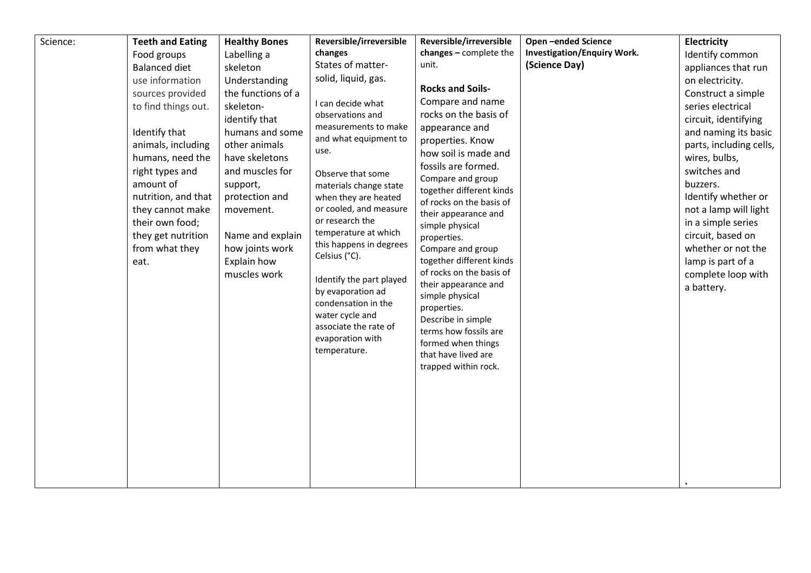| Science: | <b>Teeth and Eating</b><br>Food groups<br><b>Balanced diet</b><br>use information<br>sources provided<br>to find things out.<br>Identify that<br>animals, including<br>humans, need the<br>right types and<br>amount of<br>nutrition, and that<br>they cannot make<br>their own food;<br>they get nutrition<br>from what they<br>eat. | <b>Healthy Bones</b><br>Labelling a<br>skeleton<br>Understanding<br>the functions of a<br>skeleton-<br>identify that<br>humans and some<br>other animals<br>have skeletons<br>and muscles for<br>support,<br>protection and<br>movement.<br>Name and explain<br>how joints work<br>Explain how<br>muscles work | Reversible/irreversible<br>changes<br>States of matter-<br>solid, liquid, gas.<br>I can decide what<br>observations and<br>measurements to make<br>and what equipment to<br>use.<br>Observe that some<br>materials change state<br>when they are heated<br>or cooled, and measure<br>or research the<br>temperature at which<br>this happens in degrees<br>Celsius (°C).<br>Identify the part played<br>by evaporation ad<br>condensation in the<br>water cycle and<br>associate the rate of<br>evaporation with<br>temperature. | Reversible/irreversible<br>changes - complete the<br>unit.<br><b>Rocks and Soils-</b><br>Compare and name<br>rocks on the basis of<br>appearance and<br>properties. Know<br>how soil is made and<br>fossils are formed.<br>Compare and group<br>together different kinds<br>of rocks on the basis of<br>their appearance and<br>simple physical<br>properties.<br>Compare and group<br>together different kinds<br>of rocks on the basis of<br>their appearance and<br>simple physical<br>properties.<br>Describe in simple<br>terms how fossils are<br>formed when things<br>that have lived are<br>trapped within rock. | Open-ended Science<br><b>Investigation/Enquiry Work.</b><br>(Science Day) | <b>Electricity</b><br>Identify common<br>appliances that run<br>on electricity.<br>Construct a simple<br>series electrical<br>circuit, identifying<br>and naming its basic<br>parts, including cells,<br>wires, bulbs,<br>switches and<br>buzzers.<br>Identify whether or<br>not a lamp will light<br>in a simple series<br>circuit, based on<br>whether or not the<br>lamp is part of a<br>complete loop with<br>a battery. |
|----------|---------------------------------------------------------------------------------------------------------------------------------------------------------------------------------------------------------------------------------------------------------------------------------------------------------------------------------------|----------------------------------------------------------------------------------------------------------------------------------------------------------------------------------------------------------------------------------------------------------------------------------------------------------------|----------------------------------------------------------------------------------------------------------------------------------------------------------------------------------------------------------------------------------------------------------------------------------------------------------------------------------------------------------------------------------------------------------------------------------------------------------------------------------------------------------------------------------|---------------------------------------------------------------------------------------------------------------------------------------------------------------------------------------------------------------------------------------------------------------------------------------------------------------------------------------------------------------------------------------------------------------------------------------------------------------------------------------------------------------------------------------------------------------------------------------------------------------------------|---------------------------------------------------------------------------|------------------------------------------------------------------------------------------------------------------------------------------------------------------------------------------------------------------------------------------------------------------------------------------------------------------------------------------------------------------------------------------------------------------------------|
|          |                                                                                                                                                                                                                                                                                                                                       |                                                                                                                                                                                                                                                                                                                |                                                                                                                                                                                                                                                                                                                                                                                                                                                                                                                                  |                                                                                                                                                                                                                                                                                                                                                                                                                                                                                                                                                                                                                           |                                                                           |                                                                                                                                                                                                                                                                                                                                                                                                                              |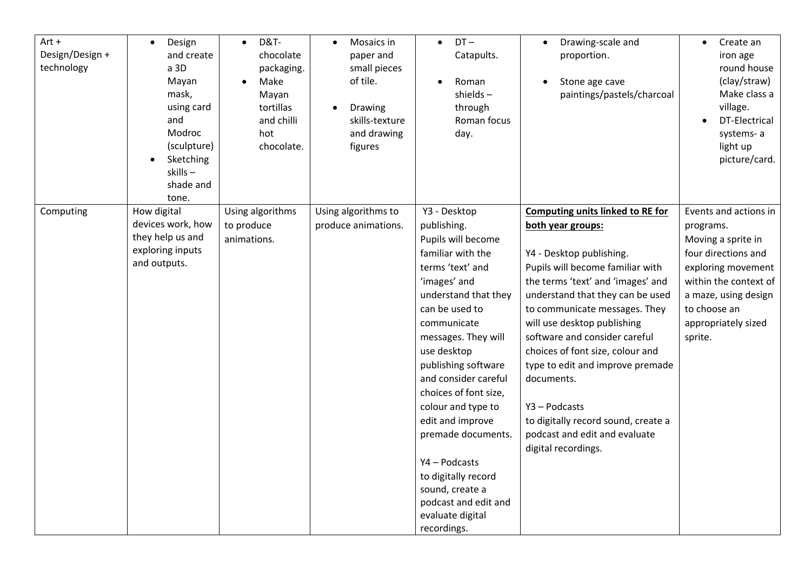| $Art +$<br>Design/Design +<br>technology | Design<br>and create<br>a 3D<br>Mayan<br>mask,<br>using card<br>and<br>Modroc<br>(sculpture)<br>Sketching<br>skills-<br>shade and<br>tone. | <b>D&amp;T-</b><br>$\bullet$<br>chocolate<br>packaging.<br>Make<br>Mayan<br>tortillas<br>and chilli<br>hot<br>chocolate. | Mosaics in<br>$\bullet$<br>paper and<br>small pieces<br>of tile.<br>Drawing<br>skills-texture<br>and drawing<br>figures | $DT -$<br>$\bullet$<br>Catapults.<br>Roman<br>$shields -$<br>through<br>Roman focus<br>day.                                                                                                                                                                                                                                                                                                                                                                           | Drawing-scale and<br>$\bullet$<br>proportion.<br>Stone age cave<br>paintings/pastels/charcoal                                                                                                                                                                                                                                                                                                                                                                                                                | Create an<br>$\bullet$<br>iron age<br>round house<br>(clay/straw)<br>Make class a<br>village.<br>DT-Electrical<br>systems-a<br>light up<br>picture/card.                                                 |
|------------------------------------------|--------------------------------------------------------------------------------------------------------------------------------------------|--------------------------------------------------------------------------------------------------------------------------|-------------------------------------------------------------------------------------------------------------------------|-----------------------------------------------------------------------------------------------------------------------------------------------------------------------------------------------------------------------------------------------------------------------------------------------------------------------------------------------------------------------------------------------------------------------------------------------------------------------|--------------------------------------------------------------------------------------------------------------------------------------------------------------------------------------------------------------------------------------------------------------------------------------------------------------------------------------------------------------------------------------------------------------------------------------------------------------------------------------------------------------|----------------------------------------------------------------------------------------------------------------------------------------------------------------------------------------------------------|
| Computing                                | How digital<br>devices work, how<br>they help us and<br>exploring inputs<br>and outputs.                                                   | Using algorithms<br>to produce<br>animations.                                                                            | Using algorithms to<br>produce animations.                                                                              | Y3 - Desktop<br>publishing.<br>Pupils will become<br>familiar with the<br>terms 'text' and<br>'images' and<br>understand that they<br>can be used to<br>communicate<br>messages. They will<br>use desktop<br>publishing software<br>and consider careful<br>choices of font size,<br>colour and type to<br>edit and improve<br>premade documents.<br>Y4-Podcasts<br>to digitally record<br>sound, create a<br>podcast and edit and<br>evaluate digital<br>recordings. | <b>Computing units linked to RE for</b><br>both year groups:<br>Y4 - Desktop publishing.<br>Pupils will become familiar with<br>the terms 'text' and 'images' and<br>understand that they can be used<br>to communicate messages. They<br>will use desktop publishing<br>software and consider careful<br>choices of font size, colour and<br>type to edit and improve premade<br>documents.<br>Y3 - Podcasts<br>to digitally record sound, create a<br>podcast and edit and evaluate<br>digital recordings. | Events and actions in<br>programs.<br>Moving a sprite in<br>four directions and<br>exploring movement<br>within the context of<br>a maze, using design<br>to choose an<br>appropriately sized<br>sprite. |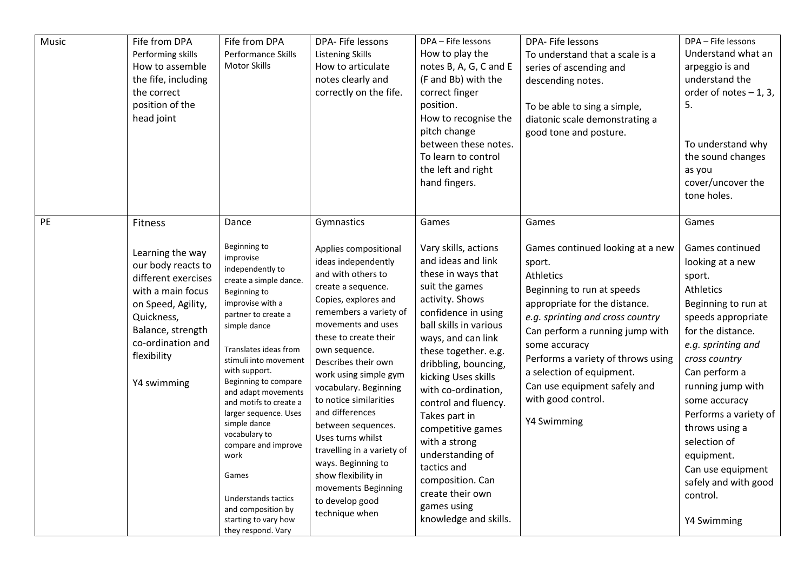| Music | Fife from DPA<br>Performing skills<br>How to assemble<br>the fife, including<br>the correct<br>position of the<br>head joint                                                                              | Fife from DPA<br>Performance Skills<br>Motor Skills                                                                                                                                                                                                                                                                                                                                                                                                                                                         | DPA- Fife lessons<br><b>Listening Skills</b><br>How to articulate<br>notes clearly and<br>correctly on the fife.                                                                                                                                                                                                                                                                                                                                                                                                                 | DPA - Fife lessons<br>How to play the<br>notes B, A, G, C and E<br>(F and Bb) with the<br>correct finger<br>position.<br>How to recognise the<br>pitch change<br>between these notes.<br>To learn to control<br>the left and right<br>hand fingers.                                                                                                                                                                                                                                   | DPA- Fife lessons<br>To understand that a scale is a<br>series of ascending and<br>descending notes.<br>To be able to sing a simple,<br>diatonic scale demonstrating a<br>good tone and posture.                                                                                                                                                                | DPA - Fife lessons<br>Understand what an<br>arpeggio is and<br>understand the<br>order of notes $-1$ , 3,<br>5.<br>To understand why<br>the sound changes<br>as you<br>cover/uncover the<br>tone holes.                                                                                                                                                                              |
|-------|-----------------------------------------------------------------------------------------------------------------------------------------------------------------------------------------------------------|-------------------------------------------------------------------------------------------------------------------------------------------------------------------------------------------------------------------------------------------------------------------------------------------------------------------------------------------------------------------------------------------------------------------------------------------------------------------------------------------------------------|----------------------------------------------------------------------------------------------------------------------------------------------------------------------------------------------------------------------------------------------------------------------------------------------------------------------------------------------------------------------------------------------------------------------------------------------------------------------------------------------------------------------------------|---------------------------------------------------------------------------------------------------------------------------------------------------------------------------------------------------------------------------------------------------------------------------------------------------------------------------------------------------------------------------------------------------------------------------------------------------------------------------------------|-----------------------------------------------------------------------------------------------------------------------------------------------------------------------------------------------------------------------------------------------------------------------------------------------------------------------------------------------------------------|--------------------------------------------------------------------------------------------------------------------------------------------------------------------------------------------------------------------------------------------------------------------------------------------------------------------------------------------------------------------------------------|
| PE    | Fitness<br>Learning the way<br>our body reacts to<br>different exercises<br>with a main focus<br>on Speed, Agility,<br>Quickness,<br>Balance, strength<br>co-ordination and<br>flexibility<br>Y4 swimming | Dance<br>Beginning to<br>improvise<br>independently to<br>create a simple dance.<br>Beginning to<br>improvise with a<br>partner to create a<br>simple dance<br>Translates ideas from<br>stimuli into movement<br>with support.<br>Beginning to compare<br>and adapt movements<br>and motifs to create a<br>larger sequence. Uses<br>simple dance<br>vocabulary to<br>compare and improve<br>work<br>Games<br><b>Understands tactics</b><br>and composition by<br>starting to vary how<br>they respond. Vary | Gymnastics<br>Applies compositional<br>ideas independently<br>and with others to<br>create a sequence.<br>Copies, explores and<br>remembers a variety of<br>movements and uses<br>these to create their<br>own sequence.<br>Describes their own<br>work using simple gym<br>vocabulary. Beginning<br>to notice similarities<br>and differences<br>between sequences.<br>Uses turns whilst<br>travelling in a variety of<br>ways. Beginning to<br>show flexibility in<br>movements Beginning<br>to develop good<br>technique when | Games<br>Vary skills, actions<br>and ideas and link<br>these in ways that<br>suit the games<br>activity. Shows<br>confidence in using<br>ball skills in various<br>ways, and can link<br>these together. e.g.<br>dribbling, bouncing,<br>kicking Uses skills<br>with co-ordination,<br>control and fluency.<br>Takes part in<br>competitive games<br>with a strong<br>understanding of<br>tactics and<br>composition. Can<br>create their own<br>games using<br>knowledge and skills. | Games<br>Games continued looking at a new<br>sport.<br>Athletics<br>Beginning to run at speeds<br>appropriate for the distance.<br>e.g. sprinting and cross country<br>Can perform a running jump with<br>some accuracy<br>Performs a variety of throws using<br>a selection of equipment.<br>Can use equipment safely and<br>with good control.<br>Y4 Swimming | Games<br>Games continued<br>looking at a new<br>sport.<br>Athletics<br>Beginning to run at<br>speeds appropriate<br>for the distance.<br>e.g. sprinting and<br>cross country<br>Can perform a<br>running jump with<br>some accuracy<br>Performs a variety of<br>throws using a<br>selection of<br>equipment.<br>Can use equipment<br>safely and with good<br>control.<br>Y4 Swimming |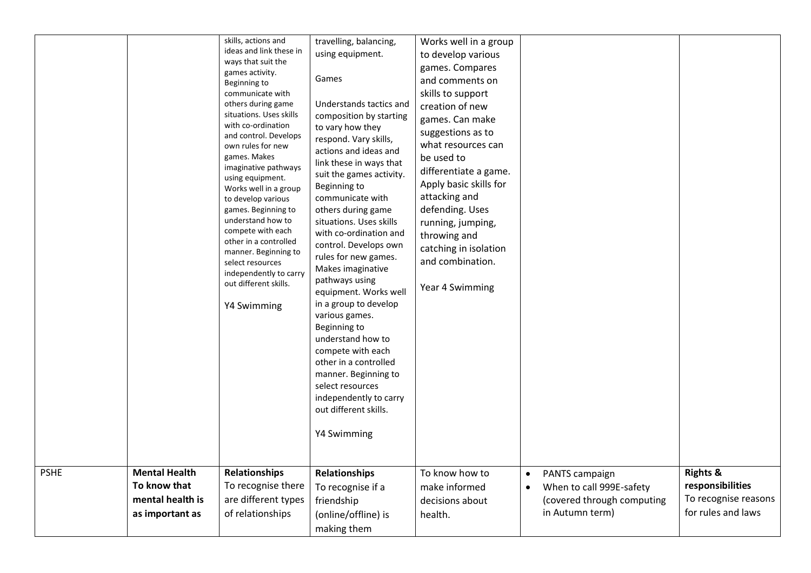| <b>PSHE</b> | <b>Mental Health</b>             | skills, actions and<br>ideas and link these in<br>ways that suit the<br>games activity.<br>Beginning to<br>communicate with<br>others during game<br>situations. Uses skills<br>with co-ordination<br>and control. Develops<br>own rules for new<br>games. Makes<br>imaginative pathways<br>using equipment.<br>Works well in a group<br>to develop various<br>games. Beginning to<br>understand how to<br>compete with each<br>other in a controlled<br>manner. Beginning to<br>select resources<br>independently to carry<br>out different skills.<br>Y4 Swimming<br><b>Relationships</b> | travelling, balancing,<br>using equipment.<br>Games<br>Understands tactics and<br>composition by starting<br>to vary how they<br>respond. Vary skills,<br>actions and ideas and<br>link these in ways that<br>suit the games activity.<br>Beginning to<br>communicate with<br>others during game<br>situations. Uses skills<br>with co-ordination and<br>control. Develops own<br>rules for new games.<br>Makes imaginative<br>pathways using<br>equipment. Works well<br>in a group to develop<br>various games.<br>Beginning to<br>understand how to<br>compete with each<br>other in a controlled<br>manner. Beginning to<br>select resources<br>independently to carry<br>out different skills.<br>Y4 Swimming<br><b>Relationships</b> | Works well in a group<br>to develop various<br>games. Compares<br>and comments on<br>skills to support<br>creation of new<br>games. Can make<br>suggestions as to<br>what resources can<br>be used to<br>differentiate a game.<br>Apply basic skills for<br>attacking and<br>defending. Uses<br>running, jumping,<br>throwing and<br>catching in isolation<br>and combination.<br>Year 4 Swimming<br>To know how to | PANTS campaign<br>$\bullet$                            | <b>Rights &amp;</b>                      |
|-------------|----------------------------------|---------------------------------------------------------------------------------------------------------------------------------------------------------------------------------------------------------------------------------------------------------------------------------------------------------------------------------------------------------------------------------------------------------------------------------------------------------------------------------------------------------------------------------------------------------------------------------------------|--------------------------------------------------------------------------------------------------------------------------------------------------------------------------------------------------------------------------------------------------------------------------------------------------------------------------------------------------------------------------------------------------------------------------------------------------------------------------------------------------------------------------------------------------------------------------------------------------------------------------------------------------------------------------------------------------------------------------------------------|---------------------------------------------------------------------------------------------------------------------------------------------------------------------------------------------------------------------------------------------------------------------------------------------------------------------------------------------------------------------------------------------------------------------|--------------------------------------------------------|------------------------------------------|
|             | To know that<br>mental health is | To recognise there<br>are different types                                                                                                                                                                                                                                                                                                                                                                                                                                                                                                                                                   | To recognise if a                                                                                                                                                                                                                                                                                                                                                                                                                                                                                                                                                                                                                                                                                                                          | make informed                                                                                                                                                                                                                                                                                                                                                                                                       | When to call 999E-safety<br>(covered through computing | responsibilities<br>To recognise reasons |
|             | as important as                  | of relationships                                                                                                                                                                                                                                                                                                                                                                                                                                                                                                                                                                            | friendship<br>(online/offline) is<br>making them                                                                                                                                                                                                                                                                                                                                                                                                                                                                                                                                                                                                                                                                                           | decisions about<br>health.                                                                                                                                                                                                                                                                                                                                                                                          | in Autumn term)                                        | for rules and laws                       |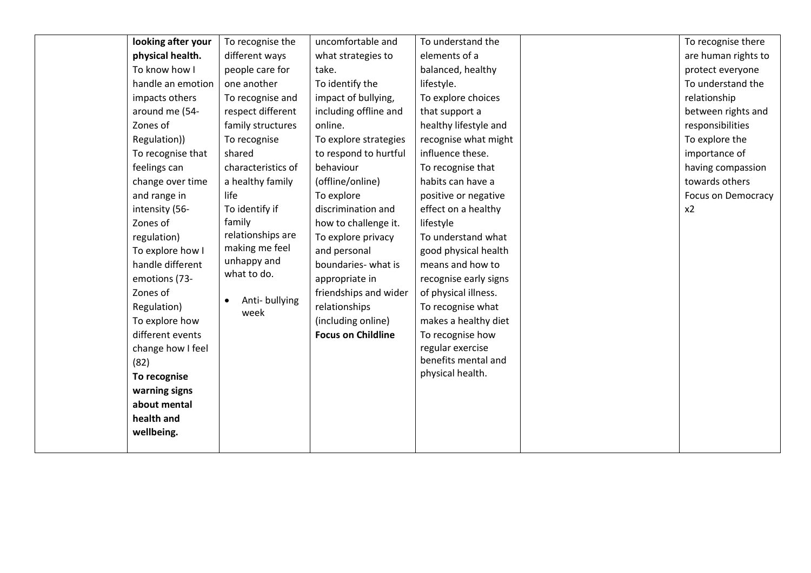| looking after your | To recognise the                   | uncomfortable and         | To understand the     | To recognise there  |
|--------------------|------------------------------------|---------------------------|-----------------------|---------------------|
| physical health.   | different ways                     | what strategies to        | elements of a         | are human rights to |
| To know how I      | people care for                    | take.                     | balanced, healthy     | protect everyone    |
| handle an emotion  | one another                        | To identify the           | lifestyle.            | To understand the   |
| impacts others     | To recognise and                   | impact of bullying,       | To explore choices    | relationship        |
| around me (54-     | respect different                  | including offline and     | that support a        | between rights and  |
| Zones of           | family structures                  | online.                   | healthy lifestyle and | responsibilities    |
| Regulation))       | To recognise                       | To explore strategies     | recognise what might  | To explore the      |
| To recognise that  | shared                             | to respond to hurtful     | influence these.      | importance of       |
| feelings can       | characteristics of                 | behaviour                 | To recognise that     | having compassion   |
| change over time   | a healthy family                   | (offline/online)          | habits can have a     | towards others      |
| and range in       | life                               | To explore                | positive or negative  | Focus on Democracy  |
| intensity (56-     | To identify if                     | discrimination and        | effect on a healthy   | x2                  |
| Zones of           | family                             | how to challenge it.      | lifestyle             |                     |
| regulation)        | relationships are                  | To explore privacy        | To understand what    |                     |
| To explore how I   | making me feel                     | and personal              | good physical health  |                     |
| handle different   | unhappy and                        | boundaries- what is       | means and how to      |                     |
| emotions (73-      | what to do.                        | appropriate in            | recognise early signs |                     |
| Zones of           |                                    | friendships and wider     | of physical illness.  |                     |
| Regulation)        | Anti-bullying<br>$\bullet$<br>week | relationships             | To recognise what     |                     |
| To explore how     |                                    | (including online)        | makes a healthy diet  |                     |
| different events   |                                    | <b>Focus on Childline</b> | To recognise how      |                     |
| change how I feel  |                                    |                           | regular exercise      |                     |
| (82)               |                                    |                           | benefits mental and   |                     |
| To recognise       |                                    |                           | physical health.      |                     |
| warning signs      |                                    |                           |                       |                     |
| about mental       |                                    |                           |                       |                     |
| health and         |                                    |                           |                       |                     |
| wellbeing.         |                                    |                           |                       |                     |
|                    |                                    |                           |                       |                     |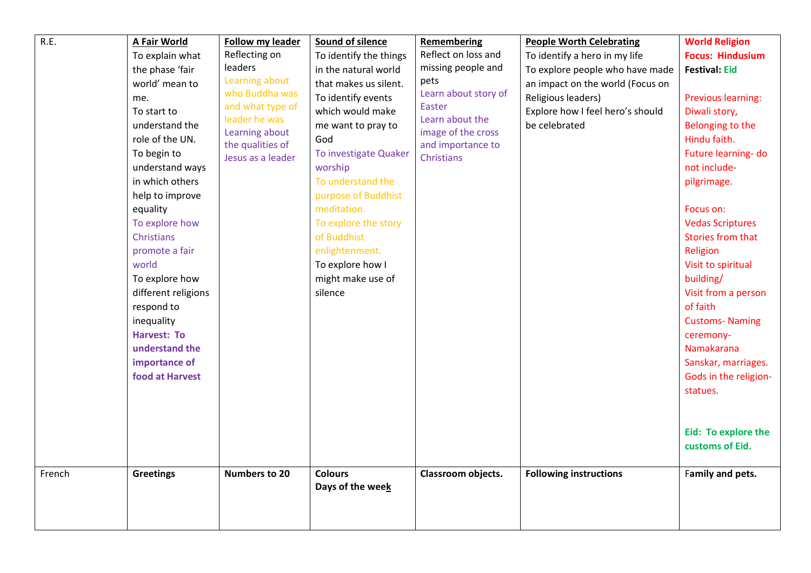| R.E.<br>French | <b>A Fair World</b><br>To explain what<br>the phase 'fair<br>world' mean to<br>me.<br>To start to<br>understand the<br>role of the UN.<br>To begin to<br>understand ways<br>in which others<br>help to improve<br>equality<br>To explore how<br>Christians<br>promote a fair<br>world<br>To explore how<br>different religions<br>respond to<br>inequality<br>Harvest: To<br>understand the<br>importance of<br>food at Harvest<br><b>Greetings</b> | <b>Follow my leader</b><br>Reflecting on<br>leaders<br>Learning about<br>who Buddha was<br>and what type of<br>leader he was<br>Learning about<br>the qualities of<br>Jesus as a leader<br><b>Numbers to 20</b> | Sound of silence<br>To identify the things<br>in the natural world<br>that makes us silent.<br>To identify events<br>which would make<br>me want to pray to<br>God<br>To investigate Quaker<br>worship<br>To understand the<br>purpose of Buddhist<br>meditation.<br>To explore the story<br>of Buddhist<br>enlightenment.<br>To explore how I<br>might make use of<br>silence<br><b>Colours</b> | <b>Remembering</b><br>Reflect on loss and<br>missing people and<br>pets<br>Learn about story of<br><b>Easter</b><br>Learn about the<br>image of the cross<br>and importance to<br>Christians<br>Classroom objects. | <b>People Worth Celebrating</b><br>To identify a hero in my life<br>To explore people who have made<br>an impact on the world (Focus on<br>Religious leaders)<br>Explore how I feel hero's should<br>be celebrated<br><b>Following instructions</b> | <b>World Religion</b><br><b>Focus: Hindusium</b><br><b>Festival: Eid</b><br>Previous learning:<br>Diwali story,<br>Belonging to the<br>Hindu faith.<br>Future learning- do<br>not include-<br>pilgrimage.<br>Focus on:<br><b>Vedas Scriptures</b><br>Stories from that<br>Religion<br>Visit to spiritual<br>building/<br>Visit from a person<br>of faith<br><b>Customs-Naming</b><br>ceremony-<br>Namakarana<br>Sanskar, marriages.<br>Gods in the religion-<br>statues.<br>Eid: To explore the<br>customs of Eid.<br>Family and pets. |
|----------------|-----------------------------------------------------------------------------------------------------------------------------------------------------------------------------------------------------------------------------------------------------------------------------------------------------------------------------------------------------------------------------------------------------------------------------------------------------|-----------------------------------------------------------------------------------------------------------------------------------------------------------------------------------------------------------------|--------------------------------------------------------------------------------------------------------------------------------------------------------------------------------------------------------------------------------------------------------------------------------------------------------------------------------------------------------------------------------------------------|--------------------------------------------------------------------------------------------------------------------------------------------------------------------------------------------------------------------|-----------------------------------------------------------------------------------------------------------------------------------------------------------------------------------------------------------------------------------------------------|----------------------------------------------------------------------------------------------------------------------------------------------------------------------------------------------------------------------------------------------------------------------------------------------------------------------------------------------------------------------------------------------------------------------------------------------------------------------------------------------------------------------------------------|
|                |                                                                                                                                                                                                                                                                                                                                                                                                                                                     |                                                                                                                                                                                                                 | Days of the week                                                                                                                                                                                                                                                                                                                                                                                 |                                                                                                                                                                                                                    |                                                                                                                                                                                                                                                     |                                                                                                                                                                                                                                                                                                                                                                                                                                                                                                                                        |